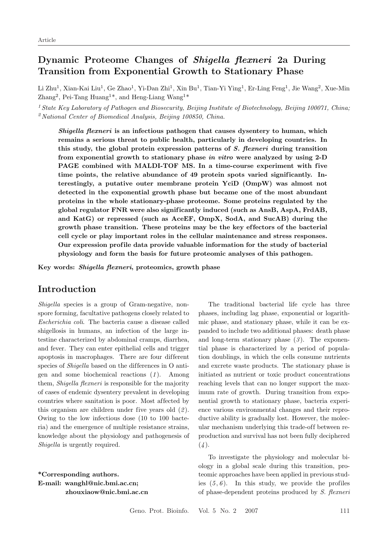# **Dynamic Proteome Changes of** *Shigella flexneri* **2a During Transition from Exponential Growth to Stationary Phase**

Li Zhu<sup>1</sup>, Xian-Kai Liu<sup>1</sup>, Ge Zhao<sup>1</sup>, Yi-Dan Zhi<sup>1</sup>, Xin Bu<sup>1</sup>, Tian-Yi Ying<sup>1</sup>, Er-Ling Feng<sup>1</sup>, Jie Wang<sup>2</sup>, Xue-Min Zhang<sup>2</sup>, Pei-Tang Huang<sup>1\*</sup>, and Heng-Liang Wang<sup>1\*</sup>

<sup>1</sup> *State Key Laboratory of Pathogen and Biosecurity, Beijing Institute of Biotechnology, Beijing 100071, China;* <sup>2</sup>*National Center of Biomedical Analysis, Beijing 100850, China.*

*Shigella flexneri* **is an infectious pathogen that causes dysentery to human, which remains a serious threat to public health, particularly in developing countries. In this study, the global protein expression patterns of** *S. flexneri* **during transition from exponential growth to stationary phase** *in vitro* **were analyzed by using 2-D** PAGE combined with MALDI-TOF MS. In a time-course experiment with five time points, the relative abundance of 49 protein spots varied significantly. In**terestingly, a putative outer membrane protein YciD (OmpW) was almost not detected in the exponential growth phase but became one of the most abundant proteins in the whole stationary-phase proteome. Some proteins regulated by the global regulator FNR were also signif icantly induced (such as AnsB, AspA, FrdAB, and KatG) or repressed (such as AceEF, OmpX, SodA, and SucAB) during the growth phase transition. These proteins may be the key ef fectors of the bacterial cell cycle or play important roles in the cellular maintenance and stress responses. Our expression prof ile data provide valuable information for the study of bacterial physiology and form the basis for future proteomic analyses of this pathogen.**

**Key words:** *Shigella flexneri***, proteomics, growth phase**

## **Introduction**

*Shigella* species is a group of Gram-negative, nonspore forming, facultative pathogens closely related to *Escherichia coli*. The bacteria cause a disease called shigellosis in humans, an infection of the large intestine characterized by abdominal cramps, diarrhea, and fever. They can enter epithelial cells and trigger apoptosis in macrophages. There are four different species of *Shigella* based on the differences in O antigen and some biochemical reactions (*1* ). Among them, *Shigella flexneri* is responsible for the majority of cases of endemic dysentery prevalent in developing countries where sanitation is poor. Most af fected by this organism are children under five years old (*2* ). Owing to the low infectious dose (10 to 100 bacteria) and the emergence of multiple resistance strains, knowledge about the physiology and pathogenesis of *Shigella* is urgently required.

**\*Corresponding authors. E-mail: wanghl@nic.bmi.ac.cn; zhouxiaow@nic.bmi.ac.cn**

The traditional bacterial life cycle has three phases, including lag phase, exponential or logarithmic phase, and stationary phase, while it can be expanded to include two additional phases: death phase and long-term stationary phase (*3* ). The exponential phase is characterized by a period of population doublings, in which the cells consume nutrients and excrete waste products. The stationary phase is initiated as nutrient or toxic product concentrations reaching levels that can no longer support the maximum rate of growth. During transition from exponential growth to stationary phase, bacteria experience various environmental changes and their reproductive ability is gradually lost. However, the molecular mechanism underlying this trade-off between reproduction and survival has not been fully deciphered  $(4).$ 

To investigate the physiology and molecular biology in a global scale during this transition, proteomic approaches have been applied in previous studies  $(5, 6)$ . In this study, we provide the profiles of phase-dependent proteins produced by *S. flexneri*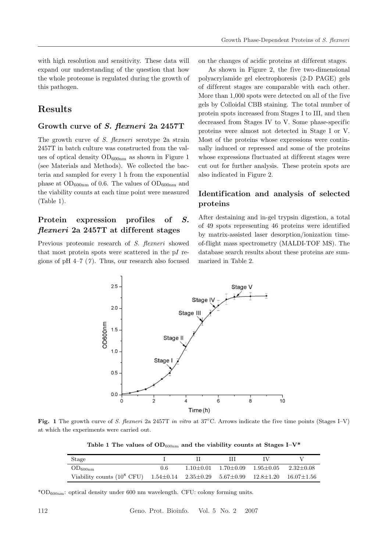with high resolution and sensitivity. These data will expand our understanding of the question that how the whole proteome is regulated during the growth of this pathogen.

# **Results**

#### **Growth curve of** *S. flexneri* **2a 2457T**

The growth curve of *S. flexneri* serotype 2a strain 2457T in batch culture was constructed from the values of optical density  $OD_{600nm}$  as shown in Figure 1 (see Materials and Methods). We collected the bacteria and sampled for every 1 h from the exponential phase at  $OD_{600nm}$  of 0.6. The values of  $OD_{600nm}$  and the viability counts at each time point were measured (Table 1).

## Protein expression profiles of S. *flexneri* **2a 2457T at dif ferent stages**

Previous proteomic research of *S. flexneri* showed that most protein spots were scattered in the pI regions of pH 4–7 (*7* ). Thus, our research also focused on the changes of acidic proteins at dif ferent stages.

As shown in Figure 2, the five two-dimensional polyacrylamide gel electrophoresis (2-D PAGE) gels of dif ferent stages are comparable with each other. More than 1,000 spots were detected on all of the five gels by Colloidal CBB staining. The total number of protein spots increased from Stages I to III, and then decreased from Stages IV to V. Some phase-specific proteins were almost not detected in Stage I or V. Most of the proteins whose expressions were continually induced or repressed and some of the proteins whose expressions fluctuated at different stages were cut out for further analysis. These protein spots are also indicated in Figure 2.

## **Identif ication and analysis of selected proteins**

After destaining and in-gel trypsin digestion, a total of 49 spots representing 46 proteins were identified by matrix-assisted laser desorption/ionization timeof-flight mass spectrometry (MALDI-TOF MS). The database search results about these proteins are summarized in Table 2.



**Fig. 1** The growth curve of *S. flexneri* 2a 2457T *in vitro* at 37◦C. Arrows indicate the five time points (Stages I–V) at which the experiments were carried out.

Table 1 The values of  $OD_{600nm}$  and the viability counts at Stages I–V<sup>\*</sup>

| Stage                                                                   |               |               |               |                 |                    |
|-------------------------------------------------------------------------|---------------|---------------|---------------|-----------------|--------------------|
| $OD_{600nm}$                                                            | $0.6^{\circ}$ | $1.10 + 0.01$ | $1.70 + 0.09$ | $1.95 + 0.05$   | $2.32 + 0.08$      |
| Viability counts $(10^8$ CFU) $1.54\pm0.14$ $2.35\pm0.29$ $5.67\pm0.99$ |               |               |               | $12.8 \pm 1.20$ | $16.07 {\pm} 1.56$ |

\*OD $_{600nm}$ : optical density under 600 nm wavelength. CFU: colony forming units.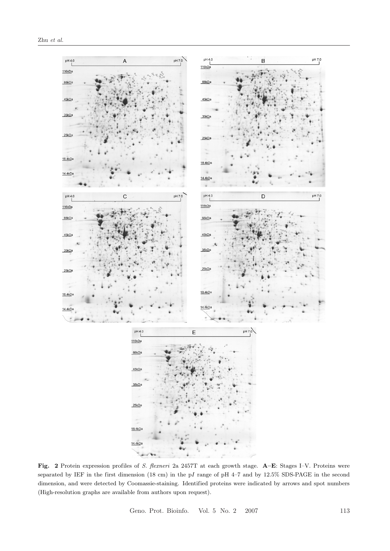

**Fig. 2** Protein expression profiles of *S. flexneri* 2a 2457T at each growth stage. **A–E**: Stages I–V. Proteins were separated by IEF in the first dimension (18 cm) in the pI range of pH 4–7 and by 12.5% SDS-PAGE in the second dimension, and were detected by Coomassie-staining. Identified proteins were indicated by arrows and spot numbers (High-resolution graphs are available from authors upon request).

Geno. Prot. Bioinfo. Vol. 5 No. 2 2007 113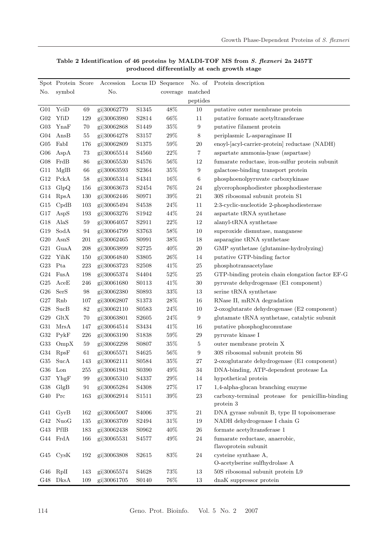|                 | Spot Protein Score                         |         | Accession   | Locus ID Sequence  |                  |                  | No. of Protein description                                    |
|-----------------|--------------------------------------------|---------|-------------|--------------------|------------------|------------------|---------------------------------------------------------------|
| No.             | symbol                                     |         | No.         |                    | coverage matched |                  |                                                               |
|                 |                                            |         |             |                    |                  | peptides         |                                                               |
| G01             | YciD                                       | 69      | gi 30062779 | S1345              | 48%              | 10               | putative outer membrane protein                               |
| G <sub>02</sub> | YfiD                                       | 129     | gi 30063980 | S <sub>2814</sub>  | 66\%             | 11               | putative formate acetyltransferase                            |
| G03             | YnaF                                       | 70      | gi 30062868 | S1449              | $35\%$           | $\boldsymbol{9}$ | putative filament protein                                     |
| G04             | AnsB                                       | 55      | gi 30064278 | S3157              | $29\%$           | 8                | periplasmic L-asparaginase II                                 |
| $G_{05}$        | FabI                                       | 176     | gi 30062809 | S <sub>1375</sub>  | $59\%$           | $20\,$           | enoyl-[acyl-carrier-protein] reductase (NADH)                 |
| G06             | AspA                                       | $73\,$  | gi 30065514 | S <sub>4560</sub>  | $22\%$           | 7                | aspartate ammonia-lyase (aspartase)                           |
| G08             | FrdB                                       | 86      | gi 30065530 | S <sub>45</sub> 76 | $56\%$           | $12\,$           | fumarate reductase, iron-sulfur protein subunit               |
| G11             | MglB                                       | 66      | gi 30063593 | S2364              | $35\%$           | $\boldsymbol{9}$ | galactose-binding transport protein                           |
| G12             | PckA                                       | $58\,$  | gi 30065314 | S4341              | 16\%             | $\boldsymbol{6}$ | phosphoenolpyruvate carboxykinase                             |
| G13             | GlpQ                                       | 156     | gi 30063673 | S <sub>2454</sub>  | $76\%$           | 24               | glycerophosphodiester phosphodiesterase                       |
| G14             | RpsA                                       | 130     | gi 30062446 | S0971              | $39\%$           | 21               | 30S ribosomal subunit protein S1                              |
| G15             | CpdB                                       | 103     | gi 30065494 | S <sub>45</sub> 38 | $24\%$           | 11               | 2:3-cyclic-nucleotide 2-phosphodiesterase                     |
| G17             | AspS                                       | 193     | gi 30063276 | S1942              | 44\%             | 24               | aspartate tRNA synthetase                                     |
| G18             | AlaS                                       | 59      | gi 30064057 | S2911              | 22%              | 12               | alanyl-tRNA synthetase                                        |
| G19             | SodA                                       | 94      | gi 30064799 | S3763              | $58\%$           | $10\,$           | superoxide dismutase, manganese                               |
| G20             | AsnS                                       | 201     | gi 30062465 | S0991              | $38\%$           | $18\,$           | asparagine tRNA synthetase                                    |
| G21             | GuaA                                       | $208\,$ | gi 30063899 | S2725              | $40\%$           | $20\,$           | GMP synthetase (glutamine-hydrolyzing)                        |
| G22             | YihK                                       | 150     | gi 30064840 | S3805              | $26\%$           | 14               | putative GTP-binding factor                                   |
| G23             | Pta                                        | 223     | gi 30063723 | S <sub>2508</sub>  | 41\%             | $25\,$           | phosphotransacetylase                                         |
| G <sub>24</sub> | FusA                                       | 198     | gi 30065374 | S <sub>4404</sub>  | $52\%$           | 25               | GTP-binding protein chain elongation factor EF-G              |
| G <sub>25</sub> | AceE                                       | 246     | gi 30061680 | S0113              | 41\%             | $30\,$           | pyruvate dehydrogenase (E1 component)                         |
| ${\rm G}26$     | SerS                                       | $98\,$  | gi 30062380 | S0893              | $33\%$           | $13\,$           | serine tRNA synthetase                                        |
| G27             | Rnb                                        | 107     | gi 30062807 | S <sub>1373</sub>  | $28\%$           | 16               | RNase II, mRNA degradation                                    |
| G28             | SucB                                       | $82\,$  | gi 30062110 | S0583              | $24\%$           | 10               | 2-oxoglutarate dehydrogenase (E2 component)                   |
| G29             | GltX                                       | 70      | gi 30063801 | S2605              | $24\%$           | $\boldsymbol{9}$ | glutamate tRNA synthetase, catalytic subunit                  |
| G31             | ${\rm MrsA}$                               | 147     | gi 30064514 | S3434              | 41\%             | 16               | putative phosphoglucomutase                                   |
| G32             | PykF                                       | 226     | gi 30063190 | S1838              | $59\%$           | $\,29$           | pyruvate kinase I                                             |
| G33             | OmpX                                       | 59      | gi 30062298 | S0807              | $35\%$           | $\overline{5}$   | outer membrane protein X                                      |
| G34             | RpsF                                       | 61      | gi 30065571 | S <sub>4625</sub>  | $56\%$           | 9                | 30S ribosomal subunit protein S6                              |
| G35             | SucA                                       | 143     | gi 30062111 | S0584              | 35%              | 27               | 2-oxoglutarate dehydrogenase (E1 component)                   |
| ${\rm G}36$     | Lon                                        | 255     | gi 30061941 | S0390              | 49%              | 34               | DNA-binding, ATP-dependent protease La                        |
| G37             | YhgF                                       | 99      | gi 30065310 | S4337              | $29\%$           | 14               | hypothetical protein                                          |
| G38             | GlgB                                       | 91      | gi 30065284 | S4308              | $27\%$           | 17               | 1,4-alpha-glucan branching enzyme                             |
| G40             | $\Pr{}$                                    | 163     | gi 30062914 | S1511              | $39\%$           | $23\,$           | carboxy-terminal protease for penicillin-binding<br>protein 3 |
| G41             | GyrB                                       | 162     | gi 30065007 | S4006              | $37\%$           | $21\,$           | DNA gyrase subunit B, type II topoisomerase                   |
| G42             | NuoG                                       | 135     | gi 30063709 | S2494              | $31\%$           | 19               | NADH dehydrogenase I chain G                                  |
| G43             | PflB                                       | 183     | gi 30062438 | S0962              | $40\%$           | $26\,$           | formate acetyltransferase 1                                   |
|                 | $\operatorname{G44}$ $\operatorname{FrdA}$ | 166     | gi 30065531 | S4577              | 49%              | $24\,$           | fumarate reductase, anaerobic,                                |
|                 |                                            |         |             |                    |                  |                  | flavoprotein subunit                                          |
| G45             | CysK                                       | 192     | gi 30063808 | S2615              | $83\%$           | $24\,$           | cysteine synthase A,                                          |
|                 |                                            |         |             |                    |                  |                  | O-acetylserine sulfhydrolase A                                |
| G46             | RpII                                       | 143     | gi 30065574 | S <sub>4628</sub>  | 73%              | 13               | 50S ribosomal subunit protein L9                              |
|                 | G48 DksA                                   | 109     | gi 30061705 | S0140              | $76\%$           | 13               | dnaK suppressor protein                                       |

### Table 2 Identification of 46 proteins by MALDI-TOF MS from *S. flexneri* 2a 2457T **produced dif ferentially at each growth stage**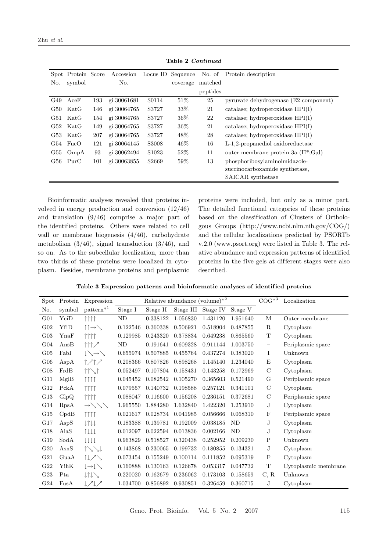| Zhu | et al. |  |
|-----|--------|--|
|-----|--------|--|

|     | Spot Protein Score    |     | Accession      |                   | Locus ID Sequence | No. of   | Protein description                      |
|-----|-----------------------|-----|----------------|-------------------|-------------------|----------|------------------------------------------|
| No. | symbol                |     | No.            |                   | coverage          | matched  |                                          |
|     |                       |     |                |                   |                   | peptides |                                          |
| G49 | AceF                  | 193 | gi 30061681    | S0114             | 51%               | 25       | pyruvate dehydrogenase (E2 component)    |
| G50 | $\operatorname{KatG}$ | 146 | gi 30064765    | S3727             | 33\%              | 21       | catalase; hydroperoxidase $HPI(I)$       |
| G51 | $\operatorname{KatG}$ | 154 | gi 30064765    | S3727             | $36\%$            | 22       | catalase; hydroperoxidase $HPI(I)$       |
| G52 | $\operatorname{KatG}$ | 149 | gi 30064765    | S3727             | 36%               | 21       | catalase; hydroperoxidase $HPI(I)$       |
| G53 | $\operatorname{KatG}$ | 207 | gi 30064765    | S3727             | 48\%              | 28       | catalase; hydroperoxidase $HPI(I)$       |
| G54 | FucO                  | 121 | $g_1 30064145$ | S3008             | 46%               | 16       | L-1,2-propanediol oxidoreductase         |
| G55 | OmpA                  | 93  | gi 30062494    | S <sub>1023</sub> | 52%               | 11       | outer membrane protein 3a $(II^*; G; d)$ |
| G56 | PurC                  | 101 | gi 30063855    | S <sub>2669</sub> | 59%               | 13       | phosphoribosylaminoimidazole-            |
|     |                       |     |                |                   |                   |          | succinocarboxamide synthetase.           |
|     |                       |     |                |                   |                   |          | SAICAR synthetase                        |

**Table 2** *Continued*

Bioinformatic analyses revealed that proteins involved in energy production and conversion (12/46) and translation (9/46) comprise a major part of the identified proteins. Others were related to cell wall or membrane biogenesis (4/46), carbohydrate metabolism  $(3/46)$ , signal transduction  $(3/46)$ , and so on. As to the subcellular localization, more than two thirds of these proteins were localized in cytoplasm. Besides, membrane proteins and periplasmic proteins were included, but only as a minor part. The detailed functional categories of these proteins based on the classification of Clusters of Orthologous Groups (http://www.ncbi.nlm.nih.gov/COG/) and the cellular localizations predicted by PSORTb v.2.0 (www.psort.org) were listed in Table 3. The relative abundance and expression patterns of identified proteins in the five gels at dif ferent stages were also described.

Table 3 Expression patterns and bioinformatic analyses of identified proteins

| Spot            | Protein      | Expression                                    |          | $COG^{*3}$<br>Relative abundance (volume) $*^2$ |           |          |           |                          | Localization         |
|-----------------|--------------|-----------------------------------------------|----------|-------------------------------------------------|-----------|----------|-----------|--------------------------|----------------------|
| No.             | symbol       | $pattern^{*1}$                                | Stage I  | Stage II                                        | Stage III | Stage IV | Stage V   |                          |                      |
| G <sub>01</sub> | YciD         | $\uparrow \uparrow \uparrow \uparrow$         | ND       | 0.338122                                        | 1.056830  | 1.431120 | 1.951640  | М                        | Outer membrane       |
| $G_{02}$        | YfiD         | $\uparrow \uparrow \rightarrow \searrow$      | 0.122546 | 0.360338                                        | 0.506921  | 0.518904 | 0.487855  | $\mathbf R$              | Cytoplasm            |
| G03             | YnaF         | 1111                                          | 0.129985 | 0.243320                                        | 0.378834  | 0.649238 | 0.865560  | $\mathbf T$              | Cytoplasm            |
| G <sub>04</sub> | AnsB         | $\uparrow \uparrow \uparrow \nearrow$         | ND       | 0.191641                                        | 0.609328  | 0.911144 | 1.003750  | $\overline{\phantom{m}}$ | Periplasmic space    |
| $G_{05}$        | FabI         | $\downarrow \searrow \rightarrow \searrow$    | 0.655974 | 0.507885                                        | 0.455764  | 0.437274 | 0.383020  | I                        | Unknown              |
| G06             | AspA         | 1/1/                                          | 0.208366 | 0.807826                                        | 0.898268  | 1.145140 | 1.234040  | E                        | Cytoplasm            |
| G08             | FrdB         | $11 \times 1$                                 | 0.052497 | 0.107804                                        | 0.158431  | 0.143258 | 0.172969  | $\mathbf C$              | Cytoplasm            |
| G11             | MglB         | $\uparrow \uparrow \uparrow \uparrow$         | 0.045452 | 0.082542                                        | 0.105270  | 0.365603 | 0.521490  | G                        | Periplasmic space    |
| G12             | PckA         | $\uparrow \uparrow \uparrow \uparrow$         | 0.079557 | 0.140732                                        | 0.198588  | 0.257121 | 0.341101  | $\mathbf C$              | Cytoplasm            |
| G13             | GlpQ         | $\uparrow \uparrow \uparrow \uparrow$         | 0.088047 | 0.116600                                        | 0.156208  | 0.236151 | 0.372681  | $\mathcal{C}$            | Periplasmic space    |
| G14             | RpsA         | $\rightarrow \searrow \searrow \searrow$      | 1.965550 | 1.884280                                        | 1.632840  | 1.422320 | 1.253910  | J                        | Cytoplasm            |
| G15             | CpdB         | $\uparrow \uparrow \uparrow \uparrow$         | 0.021617 | 0.028734                                        | 0.041985  | 0.056666 | 0.068310  | $_{\rm F}$               | Periplasmic space    |
| G17             | AspS         | $\downarrow \uparrow \downarrow \downarrow$   | 0.183388 | 0.139781                                        | 0.192009  | 0.038185 | <b>ND</b> | J                        | Cytoplasm            |
| G18             | AlaS         | $\uparrow \downarrow \downarrow \downarrow$   | 0.012097 | 0.022594                                        | 0.013836  | 0.002166 | ND        | J                        | Cytoplasm            |
| G19             | SodA         | $\downarrow \downarrow \downarrow \downarrow$ | 0.963829 | 0.518527                                        | 0.320438  | 0.252952 | 0.209230  | $\mathbf P$              | Unknown              |
| $G_{20}$        | AsnS         | $\uparrow\searrow\searrow\downarrow$          | 0.143868 | 0.230065                                        | 0.199732  | 0.180855 | 0.134321  | J                        | Cytoplasm            |
| G21             | GuaA         | 11/2                                          | 0.073454 | 0.155249                                        | 0.100114  | 0.111852 | 0.095319  | $\mathbf F$              | Cytoplasm            |
| G22             | YihK         | $\downarrow \rightarrow \downarrow \searrow$  | 0.160888 | 0.130163                                        | 0.126678  | 0.053317 | 0.047732  | $\mathbf T$              | Cytoplasmic membrane |
| $G_{23}$        | Pta          | $\downarrow \uparrow \downarrow \searrow$     | 0.220020 | 0.162679                                        | 0.236062  | 0.173103 | 0.158659  | C, R                     | Unknown              |
| G <sub>24</sub> | ${\rm FusA}$ | ↓/↓/                                          | 1.034700 | 0.856892                                        | 0.930851  | 0.326459 | 0.360715  | J                        | Cytoplasm            |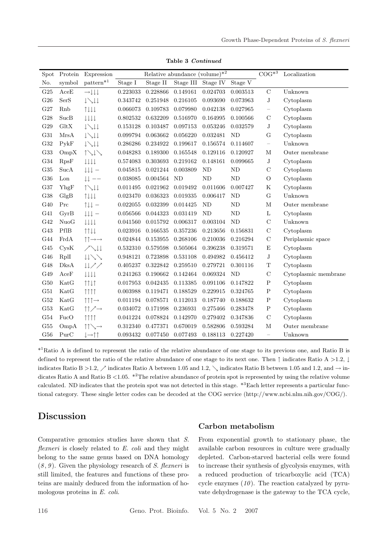|                 |                       | Relative abundance (volume) $*^2$              |                 |          |           |                |           |                   |                      |
|-----------------|-----------------------|------------------------------------------------|-----------------|----------|-----------|----------------|-----------|-------------------|----------------------|
| Spot            | Protein               | Expression                                     |                 |          |           |                |           | $COG^{*3}$        | Localization         |
| No.             | symbol                | $\mathrm{pattern}^{*1}$                        | Stage I         | Stage II | Stage III | Stage IV       | Stage V   |                   |                      |
| G <sub>25</sub> | AceE                  | $\rightarrow \downarrow \downarrow \downarrow$ | 0.223033        | 0.228866 | 0.149161  | 0.024703       | 0.003513  | $\rm C$           | Unknown              |
| G26             | SerS                  | $l \searrow l \downarrow$                      | 0.343742        | 0.251948 | 0.216105  | 0.093690       | 0.073963  | $_{\rm J}$        | Cytoplasm            |
| G27             | Rnb                   | 1111                                           | 0.066073        | 0.109783 | 0.079980  | 0.042138       | 0.027965  | -                 | Cytoplasm            |
| G28             | SucB                  | l l l l                                        | 0.802532        | 0.632209 | 0.516970  | 0.164995       | 0.100566  | $\mathcal{C}$     | Cytoplasm            |
| G29             | GltX                  | $\downarrow \searrow \downarrow \downarrow$    | 0.153128        | 0.103487 | 0.097153  | 0.053246       | 0.032579  | J                 | Cytoplasm            |
| G31             | MrsA                  | $\downarrow \searrow \downarrow \downarrow$    | 0.099794        | 0.063662 | 0.056220  | 0.032481       | <b>ND</b> | G                 | Cytoplasm            |
| G32             | PykF                  | $\downarrow \searrow \downarrow \downarrow$    | 0.286286        | 0.234922 | 0.199617  | 0.156574       | 0.114607  | $\equiv$          | Unknown              |
| G33             | OmpX                  | $\uparrow\downarrow\downarrow\searrow$         | 0.048283        | 0.189300 | 0.165548  | 0.129116       | 0.120927  | M                 | Outer membrane       |
| G34             | RpsF                  | $\downarrow \downarrow \downarrow \downarrow$  | 0.574083        | 0.303693 | 0.219162  | 0.148161       | 0.099665  | J                 | Cytoplasm            |
| G35             | SucA                  | $\downarrow \downarrow \downarrow$ -           | 0.045815        | 0.021244 | 0.003809  | N <sub>D</sub> | $\rm ND$  | $\mathbf C$       | Cytoplasm            |
| G36             | Lon                   | $\downarrow \downarrow$ $--$                   | 0.038085        | 0.004564 | <b>ND</b> | <b>ND</b>      | <b>ND</b> | $\Omega$          | Cytoplasm            |
| G37             | YhgF                  | $\uparrow\searrow\downarrow\downarrow$         | 0.011495        | 0.021962 | 0.019492  | 0.011606       | 0.007427  | ${\bf K}$         | Cytoplasm            |
| G38             | GlgB                  | 111                                            | 0.023470        | 0.036323 | 0.019335  | 0.006417       | ND        | G                 | Unknown              |
| G40             | Prc                   | $\uparrow \downarrow \downarrow$ -             | 0.022055        | 0.032399 | 0.014425  | N <sub>D</sub> | <b>ND</b> | $\mathbf M$       | Outer membrane       |
| G41             | GyrB                  | $\downarrow \downarrow \downarrow$ -           | 0.056566        | 0.044323 | 0.031419  | N <sub>D</sub> | $\rm ND$  | $\mathbf L$       | Cytoplasm            |
| G42             | NuoG                  | llll                                           | 0.041560        | 0.015792 | 0.006317  | 0.003104       | ND        | $\mathcal{C}$     | Unknown              |
| G43             | PflB                  | $\uparrow \uparrow \downarrow \downarrow$      | 0.023916        | 0.166535 | 0.357236  | 0.213656       | 0.156831  | $\rm C$           | Cytoplasm            |
| G44             | FrdA                  | ↑↑→→                                           | $\, 0.024844\,$ | 0.153955 | 0.268106  | 0.210036       | 0.216294  | $\mathcal{C}$     | Periplasmic space    |
| G45             | C <sub>ys</sub> K     | $\bigwedge \downarrow \downarrow$              | 0.532310        | 0.579598 | 0.505064  | 0.396238       | 0.319571  | $\mathbf E$       | Cytoplasm            |
| G46             | RpII                  | $\downarrow \downarrow \searrow \searrow$      | 0.948121        | 0.723898 | 0.531108  | 0.494982       | 0.456412  | J                 | Cytoplasm            |
| G48             | DksA                  | $\downarrow \downarrow \nearrow \nearrow$      | 0.405237        | 0.322842 | 0.259510  | 0.279721       | 0.301116  | $\mathbf T$       | Cytoplasm            |
| G49             | AceF                  | l l l l                                        | 0.241263        | 0.190662 | 0.142464  | 0.069324       | ND        | $\mathcal{C}$     | Cytoplasmic membrane |
| G50             | KatG                  | $\uparrow \uparrow \downarrow \uparrow$        | 0.017953        | 0.042435 | 0.113385  | 0.091106       | 0.147822  | $\mathbf P$       | Cytoplasm            |
| G51             | $\operatorname{KatG}$ | $\uparrow \uparrow \uparrow \uparrow$          | 0.003988        | 0.119471 | 0.188529  | 0.229915       | 0.324765  | ${\bf P}$         | Cytoplasm            |
| G52             | KatG                  | $\uparrow \uparrow \uparrow \rightarrow$       | 0.011194        | 0.078571 | 0.112013  | 0.187740       | 0.188632  | ${\bf P}$         | Cytoplasm            |
| G53             | KatG                  | $\uparrow \uparrow \nearrow \rightarrow$       | 0.034072        | 0.171998 | 0.236931  | 0.275466       | 0.283478  | $\mathbf P$       | Cytoplasm            |
| G54             | FucO                  | $\uparrow \uparrow \uparrow \uparrow$          | 0.041224        | 0.078824 | 0.142970  | 0.279402       | 0.347836  | $\mathcal{C}$     | Cytoplasm            |
| G55             | OmpA                  | $\uparrow \uparrow \searrow \rightarrow$       | 0.312340        | 0.477371 | 0.670019  | 0.582806       | 0.593284  | $\mathbf M$       | Outer membrane       |
| G56             | PurC                  | $l \rightarrow \uparrow \uparrow$              | 0.093432        | 0.077450 | 0.077493  | 0.188113       | 0.227420  | $\qquad \qquad -$ | Unknown              |

**Table 3** *Continued*

\*<sup>1</sup>Ratio A is defined to represent the ratio of the relative abundance of one stage to its previous one, and Ratio B is defined to represent the ratio of the relative abundance of one stage to its next one. Then  $\uparrow$  indicates Ratio A >1.2,  $\downarrow$ indicates Ratio B >1.2,  $\checkmark$  indicates Ratio A between 1.05 and 1.2,  $\checkmark$  indicates Ratio B between 1.05 and 1.2, and  $\to$  indicates Ratio A and Ratio B  $\lt 1.05$ . <sup>\*2</sup>The relative abundance of protein spot is represented by using the relative volume calculated. ND indicates that the protein spot was not detected in this stage. \*<sup>3</sup>Each letter represents a particular functional category. These single letter codes can be decoded at the COG service (http://www.ncbi.nlm.nih.gov/COG/).

## **Discussion**

Comparative genomics studies have shown that *S. flexneri* is closely related to *E. coli* and they might belong to the same genus based on DNA homology (*8* , *9* ). Given the physiology research of *S. flexneri* is still limited, the features and functions of these proteins are mainly deduced from the information of homologous proteins in *E. coli*.

### **Carbon metabolism**

From exponential growth to stationary phase, the available carbon resources in culture were gradually depleted. Carbon-starved bacterial cells were found to increase their synthesis of glycolysis enzymes, with a reduced production of tricarboxylic acid (TCA) cycle enzymes (*10* ). The reaction catalyzed by pyruvate dehydrogenase is the gateway to the TCA cycle,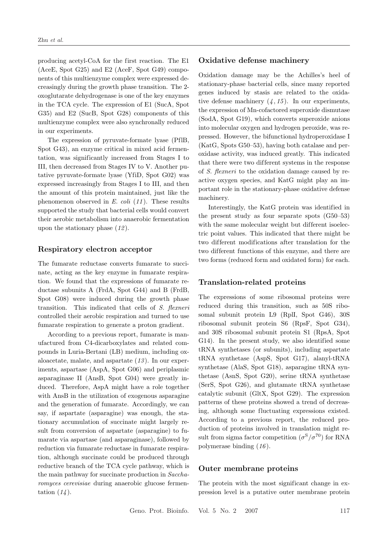producing acetyl-CoA for the first reaction. The E1 (AceE, Spot G25) and E2 (AceF, Spot G49) components of this multienzyme complex were expressed decreasingly during the growth phase transition. The 2 oxoglutarate dehydrogenase is one of the key enzymes in the TCA cycle. The expression of E1 (SucA, Spot G35) and E2 (SucB, Spot G28) components of this multienzyme complex were also synchronally reduced in our experiments.

The expression of pyruvate-formate lyase (PflB, Spot G43), an enzyme critical in mixed acid fermentation, was significantly increased from Stages I to III, then decreased from Stages IV to V. Another putative pyruvate-formate lyase (YfiD, Spot G02) was expressed increasingly from Stages I to III, and then the amount of this protein maintained, just like the phenomenon observed in *E. coli* (*11* ). These results supported the study that bacterial cells would convert their aerobic metabolism into anaerobic fermentation upon the stationary phase (*12* ).

#### **Respiratory electron acceptor**

The fumarate reductase converts fumarate to succinate, acting as the key enzyme in fumarate respiration. We found that the expressions of fumarate reductase subunits A (FrdA, Spot G44) and B (FrdB, Spot G08) were induced during the growth phase transition. This indicated that cells of *S. flexneri* controlled their aerobic respiration and turned to use fumarate respiration to generate a proton gradient.

According to a previous report, fumarate is manufactured from C4-dicarboxylates and related compounds in Luria-Bertani (LB) medium, including oxaloacetate, malate, and aspartate (*13* ). In our experiments, aspartase (AspA, Spot G06) and periplasmic asparaginase II (AnsB, Spot G04) were greatly induced. Therefore, AspA might have a role together with AnsB in the utilization of exogenous asparagine and the generation of fumarate. Accordingly, we can say, if aspartate (asparagine) was enough, the stationary accumulation of succinate might largely result from conversion of aspartate (asparagine) to fumarate via aspartase (and asparaginase), followed by reduction via fumarate reductase in fumarate respiration, although succinate could be produced through reductive branch of the TCA cycle pathway, which is the main pathway for succinate production in *Saccharomyces cerevisiae* during anaerobic glucose fermentation (*14* ).

#### **Oxidative defense machinery**

Oxidation damage may be the Achilles's heel of stationary-phase bacterial cells, since many reported genes induced by stasis are related to the oxidative defense machinery  $(4, 15)$ . In our experiments, the expression of Mn-cofactored superoxide dismutase (SodA, Spot G19), which converts superoxide anions into molecular oxygen and hydrogen peroxide, was repressed. However, the bifunctional hydroperoxidase I (KatG, Spots G50–53), having both catalase and peroxidase activity, was induced greatly. This indicated that there were two different systems in the response of *S. flexneri* to the oxidation damage caused by reactive oxygen species, and KatG might play an important role in the stationary-phase oxidative defense machinery.

Interestingly, the KatG protein was identified in the present study as four separate spots (G50–53) with the same molecular weight but different isoelectric point values. This indicated that there might be two dif ferent modifications after translation for the two dif ferent functions of this enzyme, and there are two forms (reduced form and oxidated form) for each.

#### **Translation-related proteins**

The expressions of some ribosomal proteins were reduced during this transition, such as 50S ribosomal subunit protein L9 (RplI, Spot G46), 30S ribosomal subunit protein S6 (RpsF, Spot G34), and 30S ribosomal subunit protein S1 (RpsA, Spot G14). In the present study, we also identified some tRNA synthetases (or subunits), including aspartate tRNA synthetase (AspS, Spot G17), alanyl-tRNA synthetase (AlaS, Spot G18), asparagine tRNA synthetase (AsnS, Spot G20), serine tRNA synthetase (SerS, Spot G26), and glutamate tRNA synthetase catalytic subunit (GltX, Spot G29). The expression patterns of these proteins showed a trend of decreasing, although some fluctuating expressions existed. According to a previous report, the reduced production of proteins involved in translation might result from sigma factor competition  $(\sigma^{\rm S}/\sigma^{\rm 70})$  for RNA polymerase binding (*16* ).

#### **Outer membrane proteins**

The protein with the most significant change in expression level is a putative outer membrane protein

Geno. Prot. Bioinfo. Vol. 5 No. 2 2007 117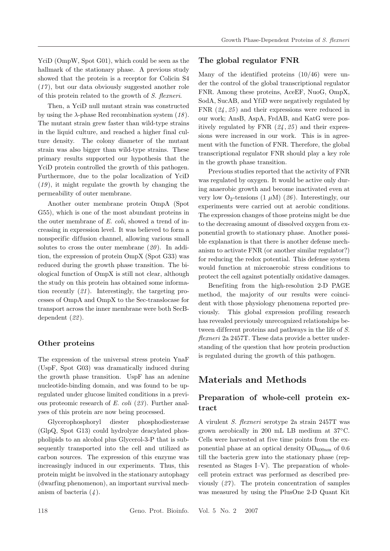YciD (OmpW, Spot G01), which could be seen as the hallmark of the stationary phase. A previous study showed that the protein is a receptor for Colicin S4 (*17* ), but our data obviously suggested another role of this protein related to the growth of *S. flexneri*.

Then, a YciD null mutant strain was constructed by using the  $\lambda$ -phase Red recombination system (18). The mutant strain grew faster than wild-type strains in the liquid culture, and reached a higher final culture density. The colony diameter of the mutant strain was also bigger than wild-type strains. These primary results supported our hypothesis that the YciD protein controlled the growth of this pathogen. Furthermore, due to the polar localization of YciD (*19* ), it might regulate the growth by changing the permeability of outer membrane.

Another outer membrane protein OmpA (Spot G55), which is one of the most abundant proteins in the outer membrane of *E. coli*, showed a trend of increasing in expression level. It was believed to form a nonspecific diffusion channel, allowing various small solutes to cross the outer membrane (*20* ). In addition, the expression of protein OmpX (Spot G33) was reduced during the growth phase transition. The biological function of OmpX is still not clear, although the study on this protein has obtained some information recently (*21* ). Interestingly, the targeting processes of OmpA and OmpX to the Sec-translocase for transport across the inner membrane were both SecBdependent (*22* ).

#### **Other proteins**

The expression of the universal stress protein YnaF (UspF, Spot G03) was dramatically induced during the growth phase transition. UspF has an adenine nucleotide-binding domain, and was found to be upregulated under glucose limited conditions in a previous proteomic research of *E. coli* (*23* ). Further analyses of this protein are now being processed.

Glycerophosphoryl diester phosphodiesterase (GlpQ, Spot G13) could hydrolyze deacylated phospholipids to an alcohol plus Glycerol-3-P that is subsequently transported into the cell and utilized as carbon sources. The expression of this enzyme was increasingly induced in our experiments. Thus, this protein might be involved in the stationary autophagy (dwarfing phenomenon), an important survival mechanism of bacteria (*4* ).

#### **The global regulator FNR**

Many of the identified proteins (10/46) were under the control of the global transcriptional regulator FNR. Among these proteins, AceEF, NuoG, OmpX, SodA, SucAB, and YfiD were negatively regulated by FNR  $(24, 25)$  and their expressions were reduced in our work; AnsB, AspA, FrdAB, and KatG were positively regulated by FNR (*24* , *25* ) and their expressions were increased in our work. This is in agreement with the function of FNR. Therefore, the global transcriptional regulator FNR should play a key role in the growth phase transition.

Previous studies reported that the activity of FNR was regulated by oxygen. It would be active only during anaerobic growth and become inactivated even at very low  $O_2$ -tensions  $(1 \mu M)$   $(26)$ . Interestingly, our experiments were carried out at aerobic conditions. The expression changes of those proteins might be due to the decreasing amount of dissolved oxygen from exponential growth to stationary phase. Another possible explanation is that there is another defense mechanism to activate FNR (or another similar regulator?) for reducing the redox potential. This defense system would function at microaerobic stress conditions to protect the cell against potentially oxidative damages.

Benefiting from the high-resolution 2-D PAGE method, the majority of our results were coincident with those physiology phenomena reported previously. This global expression profiling research has revealed previously unrecognized relationships between different proteins and pathways in the life of S. *flexneri* 2a 2457T. These data provide a better understanding of the question that how protein production is regulated during the growth of this pathogen.

# **Materials and Methods**

### **Preparation of whole-cell protein extract**

A virulent *S. flexneri* serotype 2a strain 2457T was grown aerobically in 200 mL LB medium at 37◦C. Cells were harvested at five time points from the exponential phase at an optical density  $OD_{600nm}$  of 0.6 till the bacteria grew into the stationary phase (represented as Stages I–V). The preparation of wholecell protein extract was performed as described previously (*27* ). The protein concentration of samples was measured by using the PlusOne 2-D Quant Kit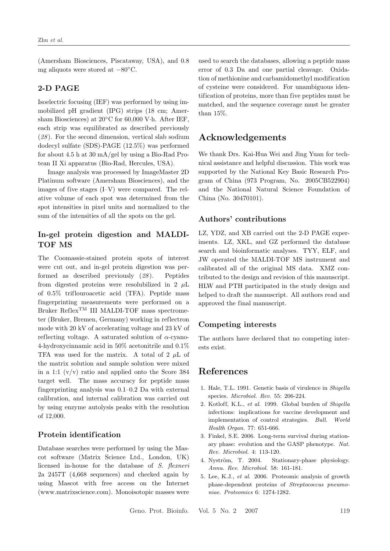(Amersham Biosciences, Piscataway, USA), and 0.8 mg aliquots were stored at −80◦C.

#### **2-D PAGE**

Isoelectric focusing (IEF) was performed by using immobilized pH gradient (IPG) strips (18 cm; Amersham Biosciences) at 20◦C for 60,000 V·h. After IEF, each strip was equilibrated as described previously (*28* ). For the second dimension, vertical slab sodium dodecyl sulfate (SDS)-PAGE (12.5%) was performed for about 4.5 h at 30 mA/gel by using a Bio-Rad Protean II Xi apparatus (Bio-Rad, Hercules, USA).

Image analysis was processed by ImageMaster 2D Platinum software (Amersham Biosciences), and the images of five stages (I–V) were compared. The relative volume of each spot was determined from the spot intensities in pixel units and normalized to the sum of the intensities of all the spots on the gel.

## **In-gel protein digestion and MALDI-TOF MS**

The Coomassie-stained protein spots of interest were cut out, and in-gel protein digestion was performed as described previously (*28* ). Peptides from digested proteins were resolubilized in 2  $\mu$ L of 0.5% triflouroacetic acid (TFA). Peptide mass fingerprinting measurements were performed on a Bruker  $\mathrm{Reflex}^\mathrm{TM}$  III MALDI-TOF mass spectrometer (Bruker, Bremen, Germany) working in reflectron mode with 20 kV of accelerating voltage and 23 kV of reflecting voltage. A saturated solution of  $\alpha$ -cyano-4-hydroxycinnamic acid in 50% acetonitrile and 0.1% TFA was used for the matrix. A total of 2  $\mu$ L of the matrix solution and sample solution were mixed in a 1:1  $(v/v)$  ratio and applied onto the Score 384 target well. The mass accuracy for peptide mass fingerprinting analysis was 0.1–0.2 Da with external calibration, and internal calibration was carried out by using enzyme autolysis peaks with the resolution of 12,000.

#### **Protein identif ication**

Database searches were performed by using the Mascot software (Matrix Science Ltd., London, UK) licensed in-house for the database of *S. flexneri* 2a 2457T (4,668 sequences) and checked again by using Mascot with free access on the Internet (www.matrixscience.com). Monoisotopic masses were

used to search the databases, allowing a peptide mass error of 0.3 Da and one partial cleavage. Oxidation of methionine and carbamidomethyl modification of cysteine were considered. For unambiguous identification of proteins, more than five peptides must be matched, and the sequence coverage must be greater than 15%.

## **Acknowledgements**

We thank Drs. Kai-Hua Wei and Jing Yuan for technical assistance and helpful discussion. This work was supported by the National Key Basic Research Program of China (973 Program, No. 2005CB522904) and the National Natural Science Foundation of China (No. 30470101).

#### **Authors' contributions**

LZ, YDZ, and XB carried out the 2-D PAGE experiments. LZ, XKL, and GZ performed the database search and bioinformatic analyses. TYY, ELF, and JW operated the MALDI-TOF MS instrument and calibrated all of the original MS data. XMZ contributed to the design and revision of this manuscript. HLW and PTH participated in the study design and helped to draft the manuscript. All authors read and approved the final manuscript.

#### **Competing interests**

The authors have declared that no competing interests exist.

## **References**

- 1. Hale, T.L. 1991. Genetic basis of virulence in *Shigella* species. *Microbiol. Rev.* 55: 206-224.
- 2. Kotloff, K.L., *et al.* 1999. Global burden of *Shigella* infections: implications for vaccine development and implementation of control strategies. *Bull. World Health Organ.* 77: 651-666.
- 3. Finkel, S.E. 2006. Long-term survival during stationary phase: evolution and the GASP phenotype. *Nat. Rev. Microbiol.* 4: 113-120.
- 4. Nyström, T. 2004. Stationary-phase physiology. *Annu. Rev. Microbiol.* 58: 161-181.
- 5. Lee, K.J., *et al*. 2006. Proteomic analysis of growth phase-dependent proteins of *Streptococcus pneumoniae*. *Proteomics* 6: 1274-1282.

Geno. Prot. Bioinfo. Vol. 5 No. 2 2007 119